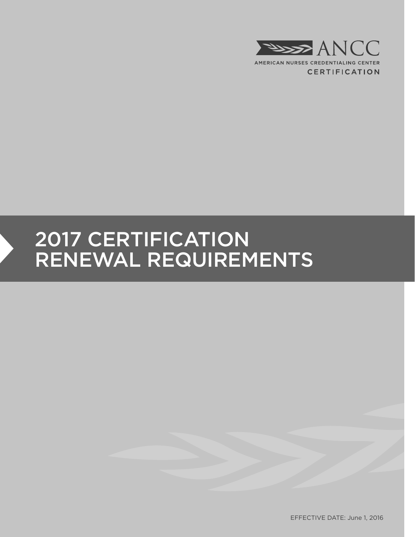

# 2017 CERTIFICATION RENEWAL REQUIREMENTS

EFFECTIVE DATE: June 1, 2016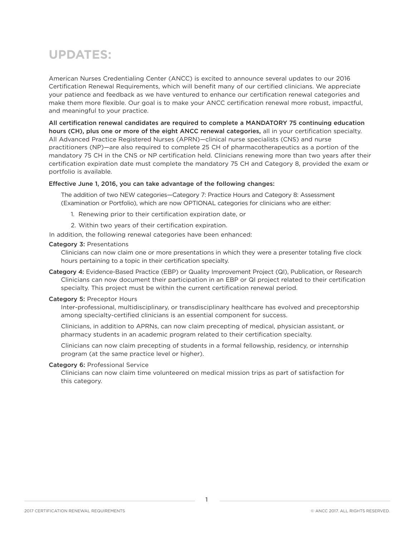## **UPDATES:**

American Nurses Credentialing Center (ANCC) is excited to announce several updates to our 2016 Certification Renewal Requirements, which will benefit many of our certified clinicians. We appreciate your patience and feedback as we have ventured to enhance our certification renewal categories and make them more flexible. Our goal is to make your ANCC certification renewal more robust, impactful, and meaningful to your practice.

All certification renewal candidates are required to complete a MANDATORY 75 continuing education hours (CH), plus one or more of the eight ANCC renewal categories, all in your certification specialty. All Advanced Practice Registered Nurses (APRN)—clinical nurse specialists (CNS) and nurse practitioners (NP)—are also required to complete 25 CH of pharmacotherapeutics as a portion of the mandatory 75 CH in the CNS or NP certification held. Clinicians renewing more than two years after their certification expiration date must complete the mandatory 75 CH and Category 8, provided the exam or portfolio is available.

### Effective June 1, 2016, you can take advantage of the following changes:

The addition of two NEW categories—Category 7: Practice Hours and Category 8: Assessment (Examination or Portfolio), which are now OPTIONAL categories for clinicians who are either:

- 1. Renewing prior to their certification expiration date, or
- 2. Within two years of their certification expiration.
- In addition, the following renewal categories have been enhanced:

#### Category 3: Presentations

Clinicians can now claim one or more presentations in which they were a presenter totaling five clock hours pertaining to a topic in their certification specialty.

Category 4: Evidence-Based Practice (EBP) or Quality Improvement Project (QI), Publication, or Research Clinicians can now document their participation in an EBP or QI project related to their certification specialty. This project must be within the current certification renewal period.

#### Category 5: Preceptor Hours

Inter-professional, multidisciplinary, or transdisciplinary healthcare has evolved and preceptorship among specialty-certified clinicians is an essential component for success.

Clinicians, in addition to APRNs, can now claim precepting of medical, physician assistant, or pharmacy students in an academic program related to their certification specialty.

Clinicians can now claim precepting of students in a formal fellowship, residency, or internship program (at the same practice level or higher).

#### Category 6: Professional Service

Clinicians can now claim time volunteered on medical mission trips as part of satisfaction for this category.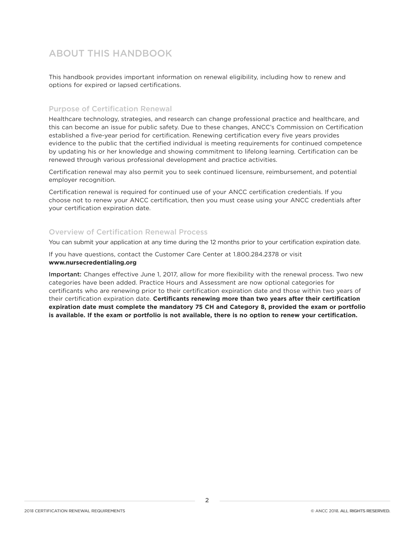### ABOUT THIS HANDBOOK

This handbook provides important information on renewal eligibility, including how to renew and options for expired or lapsed certifications.

### Purpose of Certification Renewal

Healthcare technology, strategies, and research can change professional practice and healthcare, and this can become an issue for public safety. Due to these changes, ANCC's Commission on Certification established a five-year period for certification. Renewing certification every five years provides evidence to the public that the certified individual is meeting requirements for continued competence by updating his or her knowledge and showing commitment to lifelong learning. Certification can be renewed through various professional development and practice activities.

Certification renewal may also permit you to seek continued licensure, reimbursement, and potential employer recognition.

Certification renewal is required for continued use of your ANCC certification credentials. If you choose not to renew your ANCC certification, then you must cease using your ANCC credentials after your certification expiration date.

### Overview of Certification Renewal Process

You can submit your application at any time during the 12 months prior to your certification expiration date.

If you have questions, contact the Customer Care Center at 1.800.284.2378 or visit **www.nursecredentialing.org**

Important: Changes effective June 1, 2017, allow for more flexibility with the renewal process. Two new categories have been added. Practice Hours and Assessment are now optional categories for certificants who are renewing prior to their certification expiration date and those within two years of their certification expiration date. **Certificants renewing more than two years after their certification expiration date must complete the mandatory 75 CH and Category 8, provided the exam or portfolio is available. If the exam or portfolio is not available, there is no option to renew your certification.**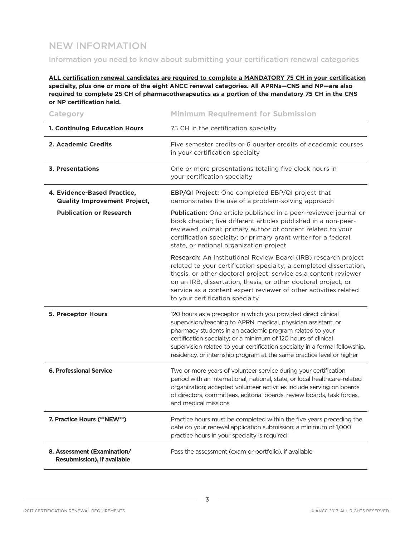### NEW INFORMATION

Information you need to know about submitting your certification renewal categories

### **ALL certification renewal candidates are required to complete a MANDATORY 75 CH in your certification specialty, plus one or more of the eight ANCC renewal categories. All APRNs—CNS and NP—are also required to complete 25 CH of pharmacotherapeutics as a portion of the mandatory 75 CH in the CNS or NP certification held.**

| <b>Category</b>                                                    | <b>Minimum Requirement for Submission</b>                                                                                                                                                                                                                                                                                                                                                                              |
|--------------------------------------------------------------------|------------------------------------------------------------------------------------------------------------------------------------------------------------------------------------------------------------------------------------------------------------------------------------------------------------------------------------------------------------------------------------------------------------------------|
| 1. Continuing Education Hours                                      | 75 CH in the certification specialty                                                                                                                                                                                                                                                                                                                                                                                   |
| 2. Academic Credits                                                | Five semester credits or 6 quarter credits of academic courses<br>in your certification specialty                                                                                                                                                                                                                                                                                                                      |
| 3. Presentations                                                   | One or more presentations totaling five clock hours in<br>your certification specialty                                                                                                                                                                                                                                                                                                                                 |
| 4. Evidence-Based Practice,<br><b>Quality Improvement Project,</b> | EBP/QI Project: One completed EBP/QI project that<br>demonstrates the use of a problem-solving approach                                                                                                                                                                                                                                                                                                                |
| <b>Publication or Research</b>                                     | Publication: One article published in a peer-reviewed journal or<br>book chapter; five different articles published in a non-peer-<br>reviewed journal; primary author of content related to your<br>certification specialty; or primary grant writer for a federal,<br>state, or national organization project                                                                                                        |
|                                                                    | Research: An Institutional Review Board (IRB) research project<br>related to your certification specialty; a completed dissertation,<br>thesis, or other doctoral project; service as a content reviewer<br>on an IRB, dissertation, thesis, or other doctoral project; or<br>service as a content expert reviewer of other activities related<br>to your certification specialty                                      |
| <b>5. Preceptor Hours</b>                                          | 120 hours as a preceptor in which you provided direct clinical<br>supervision/teaching to APRN, medical, physician assistant, or<br>pharmacy students in an academic program related to your<br>certification specialty; or a minimum of 120 hours of clinical<br>supervision related to your certification specialty in a formal fellowship,<br>residency, or internship program at the same practice level or higher |
| <b>6. Professional Service</b>                                     | Two or more years of volunteer service during your certification<br>period with an international, national, state, or local healthcare-related<br>organization; accepted volunteer activities include serving on boards<br>of directors, committees, editorial boards, review boards, task forces,<br>and medical missions                                                                                             |
| 7. Practice Hours (**NEW**)                                        | Practice hours must be completed within the five years preceding the<br>date on your renewal application submission; a minimum of 1,000<br>practice hours in your specialty is required                                                                                                                                                                                                                                |
| 8. Assessment (Examination/<br>Resubmission), if available         | Pass the assessment (exam or portfolio), if available                                                                                                                                                                                                                                                                                                                                                                  |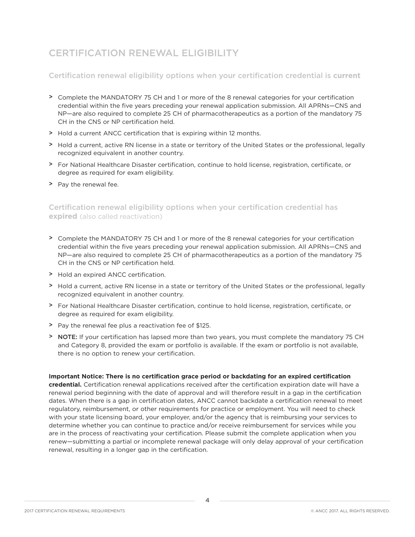### CERTIFICATION RENEWAL ELIGIBILITY

### Certification renewal eligibility options when your certification credential is **current**

- > Complete the MANDATORY 75 CH and 1 or more of the 8 renewal categories for your certification credential within the five years preceding your renewal application submission. All APRNs—CNS and NP—are also required to complete 25 CH of pharmacotherapeutics as a portion of the mandatory 75 CH in the CNS or NP certification held.
- > Hold a current ANCC certification that is expiring within 12 months.
- > Hold a current, active RN license in a state or territory of the United States or the professional, legally recognized equivalent in another country.
- > For National Healthcare Disaster certification, continue to hold license, registration, certificate, or degree as required for exam eligibility.
- > Pay the renewal fee.

### Certification renewal eligibility options when your certification credential has **expired** (also called reactivation)

- > Complete the MANDATORY 75 CH and 1 or more of the 8 renewal categories for your certification credential within the five years preceding your renewal application submission. All APRNs—CNS and NP—are also required to complete 25 CH of pharmacotherapeutics as a portion of the mandatory 75 CH in the CNS or NP certification held.
- > Hold an expired ANCC certification.
- > Hold a current, active RN license in a state or territory of the United States or the professional, legally recognized equivalent in another country.
- > For National Healthcare Disaster certification, continue to hold license, registration, certificate, or degree as required for exam eligibility.
- > Pay the renewal fee plus a reactivation fee of \$125.
- > NOTE: If your certification has lapsed more than two years, you must complete the mandatory 75 CH and Category 8, provided the exam or portfolio is available. If the exam or portfolio is not available, there is no option to renew your certification.

### **Important Notice: There is no certification grace period or backdating for an expired certification**

**credential.** Certification renewal applications received after the certification expiration date will have a renewal period beginning with the date of approval and will therefore result in a gap in the certification dates. When there is a gap in certification dates, ANCC cannot backdate a certification renewal to meet regulatory, reimbursement, or other requirements for practice or employment. You will need to check with your state licensing board, your employer, and/or the agency that is reimbursing your services to determine whether you can continue to practice and/or receive reimbursement for services while you are in the process of reactivating your certification. Please submit the complete application when you renew—submitting a partial or incomplete renewal package will only delay approval of your certification renewal, resulting in a longer gap in the certification.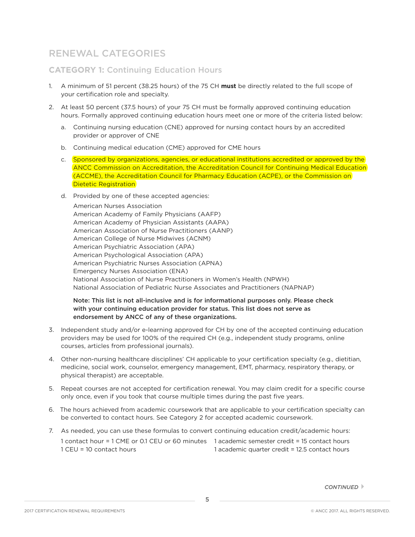### RENEWAL CATEGORIES

### **CATEGORY 1:** Continuing Education Hours

- 1. A minimum of 51 percent (38.25 hours) of the 75 CH **must** be directly related to the full scope of your certification role and specialty.
- 2. At least 50 percent (37.5 hours) of your 75 CH must be formally approved continuing education hours. Formally approved continuing education hours meet one or more of the criteria listed below:
	- a. Continuing nursing education (CNE) approved for nursing contact hours by an accredited provider or approver of CNE
	- b. Continuing medical education (CME) approved for CME hours
	- c. Sponsored by organizations, agencies, or educational institutions accredited or approved by the ANCC Commission on Accreditation, the Accreditation Council for Continuing Medical Education (ACCME), the Accreditation Council for Pharmacy Education (ACPE), or the Commission on Dietetic Registration
	- d. Provided by one of these accepted agencies:

 American Nurses Association American Academy of Family Physicians (AAFP) American Academy of Physician Assistants (AAPA) American Association of Nurse Practitioners (AANP) American College of Nurse Midwives (ACNM) American Psychiatric Association (APA) American Psychological Association (APA) American Psychiatric Nurses Association (APNA) Emergency Nurses Association (ENA) National Association of Nurse Practitioners in Women's Health (NPWH) National Association of Pediatric Nurse Associates and Practitioners (NAPNAP)

### Note: This list is not all-inclusive and is for informational purposes only. Please check with your continuing education provider for status. This list does not serve as endorsement by ANCC of any of these organizations.

- 3. Independent study and/or e-learning approved for CH by one of the accepted continuing education providers may be used for 100% of the required CH (e.g., independent study programs, online courses, articles from professional journals).
- 4. Other non-nursing healthcare disciplines' CH applicable to your certification specialty (e.g., dietitian, medicine, social work, counselor, emergency management, EMT, pharmacy, respiratory therapy, or physical therapist) are acceptable.
- 5. Repeat courses are not accepted for certification renewal. You may claim credit for a specific course only once, even if you took that course multiple times during the past five years.
- 6. The hours achieved from academic coursework that are applicable to your certification specialty can be converted to contact hours. See Category 2 for accepted academic coursework.
- 7. As needed, you can use these formulas to convert continuing education credit/academic hours: 1 contact hour = 1 CME or 0.1 CEU or 60 minutes 1 academic semester credit = 15 contact hours 1 CEU = 10 contact hours 1 academic quarter credit = 12.5 contact hours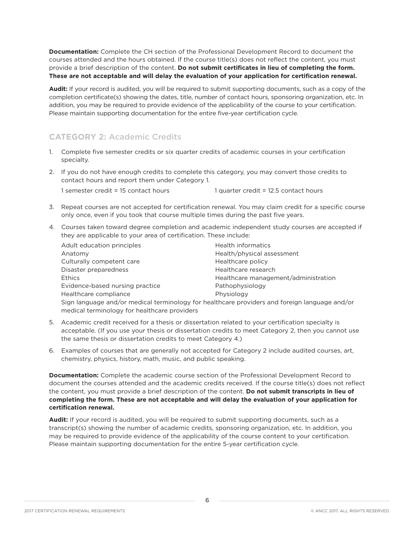**Documentation:** Complete the CH section of the Professional Development Record to document the courses attended and the hours obtained. If the course title(s) does not reflect the content, you must provide a brief description of the content. **Do not submit certificates in lieu of completing the form. These are not acceptable and will delay the evaluation of your application for certification renewal.**

**Audit:** If your record is audited, you will be required to submit supporting documents, such as a copy of the completion certificate(s) showing the dates, title, number of contact hours, sponsoring organization, etc. In addition, you may be required to provide evidence of the applicability of the course to your certification. Please maintain supporting documentation for the entire five-year certification cycle.

### **CATEGORY 2:** Academic Credits

- 1. Complete five semester credits or six quarter credits of academic courses in your certification specialty.
- 2. If you do not have enough credits to complete this category, you may convert those credits to contact hours and report them under Category 1.

1 semester credit = 15 contact hours 1 quarter credit = 12.5 contact hours

- 3. Repeat courses are not accepted for certification renewal. You may claim credit for a specific course only once, even if you took that course multiple times during the past five years.
- 4. Courses taken toward degree completion and academic independent study courses are accepted if they are applicable to your area of certification. These include:

| Adult education principles                                                                    | Health informatics                   |
|-----------------------------------------------------------------------------------------------|--------------------------------------|
| Anatomy                                                                                       | Health/physical assessment           |
| Culturally competent care                                                                     | Healthcare policy                    |
| Disaster preparedness                                                                         | Healthcare research                  |
| <b>Ethics</b>                                                                                 | Healthcare management/administration |
| Evidence-based nursing practice                                                               | Pathophysiology                      |
| Healthcare compliance                                                                         | Physiology                           |
| Sign language and/or medical terminology for healthcare providers and foreign language and/or |                                      |
| medical terminology for healthcare providers                                                  |                                      |

- 5. Academic credit received for a thesis or dissertation related to your certification specialty is acceptable. (If you use your thesis or dissertation credits to meet Category 2, then you cannot use the same thesis or dissertation credits to meet Category 4.)
- 6. Examples of courses that are generally not accepted for Category 2 include audited courses, art, chemistry, physics, history, math, music, and public speaking.

**Documentation:** Complete the academic course section of the Professional Development Record to document the courses attended and the academic credits received. If the course title(s) does not reflect the content, you must provide a brief description of the content. **Do not submit transcripts in lieu of completing the form. These are not acceptable and will delay the evaluation of your application for certification renewal.**

**Audit:** If your record is audited, you will be required to submit supporting documents, such as a transcript(s) showing the number of academic credits, sponsoring organization, etc. In addition, you may be required to provide evidence of the applicability of the course content to your certification. Please maintain supporting documentation for the entire 5-year certification cycle.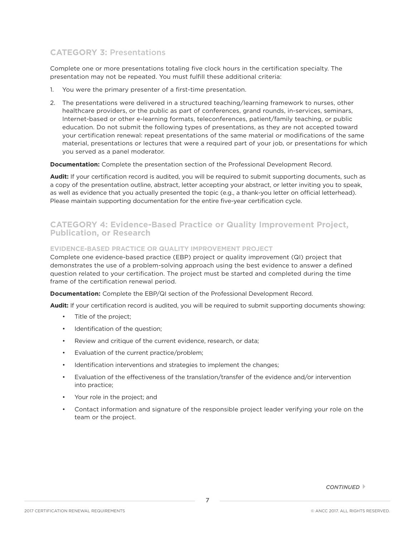### **CATEGORY 3:** Presentations

Complete one or more presentations totaling five clock hours in the certification specialty. The presentation may not be repeated. You must fulfill these additional criteria:

- 1. You were the primary presenter of a first-time presentation.
- 2. The presentations were delivered in a structured teaching/learning framework to nurses, other healthcare providers, or the public as part of conferences, grand rounds, in-services, seminars, Internet-based or other e-learning formats, teleconferences, patient/family teaching, or public education. Do not submit the following types of presentations, as they are not accepted toward your certification renewal: repeat presentations of the same material or modifications of the same material, presentations or lectures that were a required part of your job, or presentations for which you served as a panel moderator.

### **Documentation:** Complete the presentation section of the Professional Development Record.

**Audit:** If your certification record is audited, you will be required to submit supporting documents, such as a copy of the presentation outline, abstract, letter accepting your abstract, or letter inviting you to speak, as well as evidence that you actually presented the topic (e.g., a thank-you letter on official letterhead). Please maintain supporting documentation for the entire five-year certification cycle.

### **CATEGORY 4: Evidence-Based Practice or Quality Improvement Project, Publication, or Research**

### **EVIDENCE-BASED PRACTICE OR QUALITY IMPROVEMENT PROJECT**

Complete one evidence-based practice (EBP) project or quality improvement (QI) project that demonstrates the use of a problem-solving approach using the best evidence to answer a defined question related to your certification. The project must be started and completed during the time frame of the certification renewal period.

**Documentation:** Complete the EBP/QI section of the Professional Development Record.

**Audit:** If your certification record is audited, you will be required to submit supporting documents showing:

- Title of the project;
- Identification of the question;
- Review and critique of the current evidence, research, or data;
- Evaluation of the current practice/problem;
- Identification interventions and strategies to implement the changes;
- Evaluation of the effectiveness of the translation/transfer of the evidence and/or intervention into practice;
- Your role in the project; and
- Contact information and signature of the responsible project leader verifying your role on the team or the project.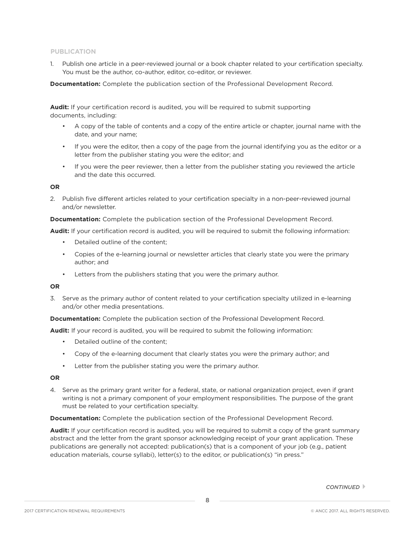### **PUBLICATION**

1. Publish one article in a peer-reviewed journal or a book chapter related to your certification specialty. You must be the author, co-author, editor, co-editor, or reviewer.

**Documentation:** Complete the publication section of the Professional Development Record.

**Audit:** If your certification record is audited, you will be required to submit supporting documents, including:

- A copy of the table of contents and a copy of the entire article or chapter, journal name with the date, and your name;
- If you were the editor, then a copy of the page from the journal identifying you as the editor or a letter from the publisher stating you were the editor; and
- If you were the peer reviewer, then a letter from the publisher stating you reviewed the article and the date this occurred.

#### **OR**

2. Publish five different articles related to your certification specialty in a non-peer-reviewed journal and/or newsletter.

**Documentation:** Complete the publication section of the Professional Development Record.

**Audit:** If your certification record is audited, you will be required to submit the following information:

- Detailed outline of the content;
- Copies of the e-learning journal or newsletter articles that clearly state you were the primary author; and
- Letters from the publishers stating that you were the primary author.

### **OR**

3. Serve as the primary author of content related to your certification specialty utilized in e-learning and/or other media presentations.

**Documentation:** Complete the publication section of the Professional Development Record.

**Audit:** If your record is audited, you will be required to submit the following information:

- Detailed outline of the content:
- Copy of the e-learning document that clearly states you were the primary author; and
- Letter from the publisher stating you were the primary author.

#### **OR**

4. Serve as the primary grant writer for a federal, state, or national organization project, even if grant writing is not a primary component of your employment responsibilities. The purpose of the grant must be related to your certification specialty.

**Documentation:** Complete the publication section of the Professional Development Record.

**Audit:** If your certification record is audited, you will be required to submit a copy of the grant summary abstract and the letter from the grant sponsor acknowledging receipt of your grant application. These publications are generally not accepted: publication(s) that is a component of your job (e.g., patient education materials, course syllabi), letter(s) to the editor, or publication(s) "in press."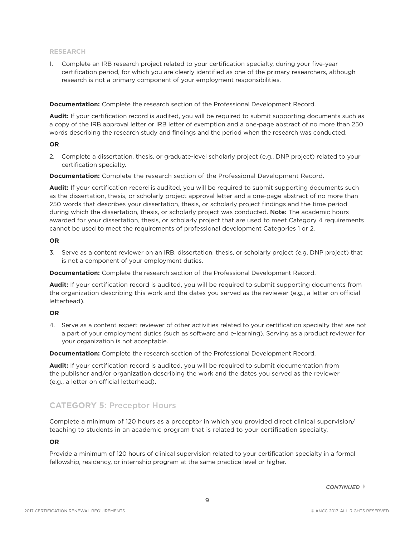#### **RESEARCH**

1. Complete an IRB research project related to your certification specialty, during your five-year certification period, for which you are clearly identified as one of the primary researchers, although research is not a primary component of your employment responsibilities.

**Documentation:** Complete the research section of the Professional Development Record.

**Audit:** If your certification record is audited, you will be required to submit supporting documents such as a copy of the IRB approval letter or IRB letter of exemption and a one-page abstract of no more than 250 words describing the research study and findings and the period when the research was conducted.

#### **OR**

2. Complete a dissertation, thesis, or graduate-level scholarly project (e.g., DNP project) related to your certification specialty.

**Documentation:** Complete the research section of the Professional Development Record.

**Audit:** If your certification record is audited, you will be required to submit supporting documents such as the dissertation, thesis, or scholarly project approval letter and a one-page abstract of no more than 250 words that describes your dissertation, thesis, or scholarly project findings and the time period during which the dissertation, thesis, or scholarly project was conducted. Note: The academic hours awarded for your dissertation, thesis, or scholarly project that are used to meet Category 4 requirements cannot be used to meet the requirements of professional development Categories 1 or 2.

#### **OR**

3. Serve as a content reviewer on an IRB, dissertation, thesis, or scholarly project (e.g. DNP project) that is not a component of your employment duties.

**Documentation:** Complete the research section of the Professional Development Record.

**Audit:** If your certification record is audited, you will be required to submit supporting documents from the organization describing this work and the dates you served as the reviewer (e.g., a letter on official letterhead).

#### **OR**

4. Serve as a content expert reviewer of other activities related to your certification specialty that are not a part of your employment duties (such as software and e-learning). Serving as a product reviewer for your organization is not acceptable.

**Documentation:** Complete the research section of the Professional Development Record.

**Audit:** If your certification record is audited, you will be required to submit documentation from the publisher and/or organization describing the work and the dates you served as the reviewer (e.g., a letter on official letterhead).

### **CATEGORY 5:** Preceptor Hours

Complete a minimum of 120 hours as a preceptor in which you provided direct clinical supervision/ teaching to students in an academic program that is related to your certification specialty,

#### **OR**

Provide a minimum of 120 hours of clinical supervision related to your certification specialty in a formal fellowship, residency, or internship program at the same practice level or higher.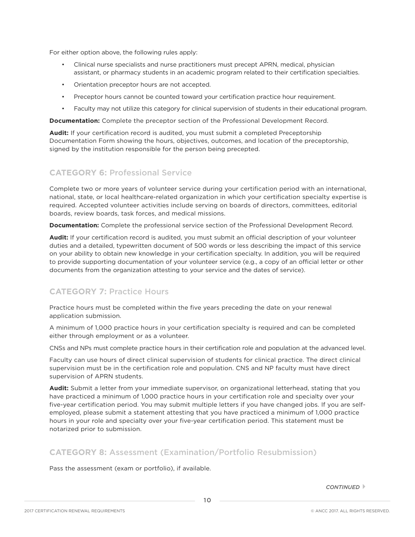For either option above, the following rules apply:

- Clinical nurse specialists and nurse practitioners must precept APRN, medical, physician assistant, or pharmacy students in an academic program related to their certification specialties.
- Orientation preceptor hours are not accepted.
- Preceptor hours cannot be counted toward your certification practice hour requirement.
- Faculty may not utilize this category for clinical supervision of students in their educational program.

**Documentation:** Complete the preceptor section of the Professional Development Record.

**Audit:** If your certification record is audited, you must submit a completed Preceptorship Documentation Form showing the hours, objectives, outcomes, and location of the preceptorship, signed by the institution responsible for the person being precepted.

### **CATEGORY 6:** Professional Service

Complete two or more years of volunteer service during your certification period with an international, national, state, or local healthcare-related organization in which your certification specialty expertise is required. Accepted volunteer activities include serving on boards of directors, committees, editorial boards, review boards, task forces, and medical missions.

**Documentation:** Complete the professional service section of the Professional Development Record.

**Audit:** If your certification record is audited, you must submit an official description of your volunteer duties and a detailed, typewritten document of 500 words or less describing the impact of this service on your ability to obtain new knowledge in your certification specialty. In addition, you will be required to provide supporting documentation of your volunteer service (e.g., a copy of an official letter or other documents from the organization attesting to your service and the dates of service).

### **CATEGORY 7:** Practice Hours

Practice hours must be completed within the five years preceding the date on your renewal application submission.

A minimum of 1,000 practice hours in your certification specialty is required and can be completed either through employment or as a volunteer.

CNSs and NPs must complete practice hours in their certification role and population at the advanced level.

Faculty can use hours of direct clinical supervision of students for clinical practice. The direct clinical supervision must be in the certification role and population. CNS and NP faculty must have direct supervision of APRN students.

**Audit:** Submit a letter from your immediate supervisor, on organizational letterhead, stating that you have practiced a minimum of 1,000 practice hours in your certification role and specialty over your five-year certification period. You may submit multiple letters if you have changed jobs. If you are selfemployed, please submit a statement attesting that you have practiced a minimum of 1,000 practice hours in your role and specialty over your five-year certification period. This statement must be notarized prior to submission.

### **CATEGORY 8:** Assessment (Examination/Portfolio Resubmission)

Pass the assessment (exam or portfolio), if available.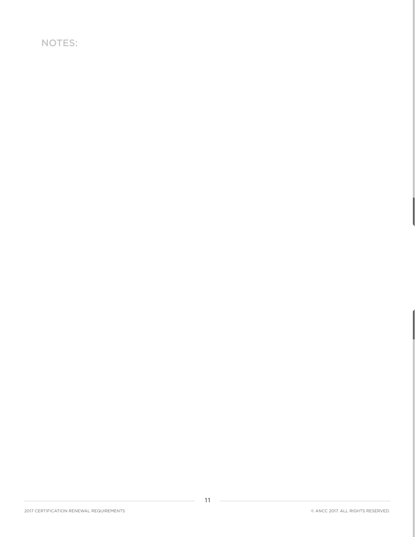NOTES: